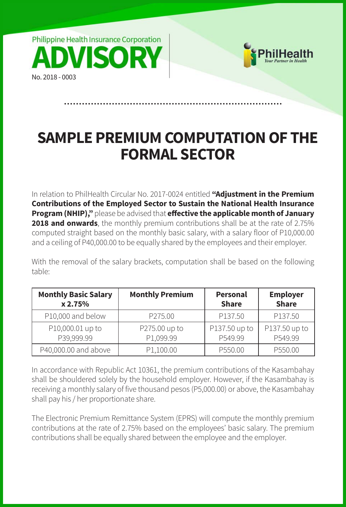



## **SAMPLE PREMIUM COMPUTATION OF THE FORMAL SECTOR**

In relation to PhilHealth Circular No. 2017-0024 entitled **"Adjustment in the Premium Contributions of the Employed Sector to Sustain the National Health Insurance Program (NHIP),"** please be advised that **effective the applicable month of January 2018 and onwards**, the monthly premium contributions shall be at the rate of 2.75% computed straight based on the monthly basic salary, with a salary floor of P10,000.00 and a ceiling of P40,000.00 to be equally shared by the employees and their employer.

With the removal of the salary brackets, computation shall be based on the following table:

| <b>Monthly Basic Salary</b> | <b>Monthly Premium</b> | <b>Personal</b> | <b>Employer</b> |  |
|-----------------------------|------------------------|-----------------|-----------------|--|
| x 2.75%                     |                        | <b>Share</b>    | <b>Share</b>    |  |
| P10,000 and below           | P275.00                | P137.50         | P137.50         |  |
| P10,000.01 up to            | P275.00 up to          | P137.50 up to   | P137.50 up to   |  |
| P39,999.99                  | P1,099.99              | P549.99         | P549.99         |  |
| P40,000.00 and above        | P1,100.00              | P550.00         | P550.00         |  |

In accordance with Republic Act 10361, the premium contributions of the Kasambahay shall be shouldered solely by the household employer. However, if the Kasambahay is receiving a monthly salary of five thousand pesos (P5,000.00) or above, the Kasambahay shall pay his / her proportionate share.

The Electronic Premium Remittance System (EPRS) will compute the monthly premium contributions at the rate of 2.75% based on the employees' basic salary. The premium contributions shall be equally shared between the employee and the employer.